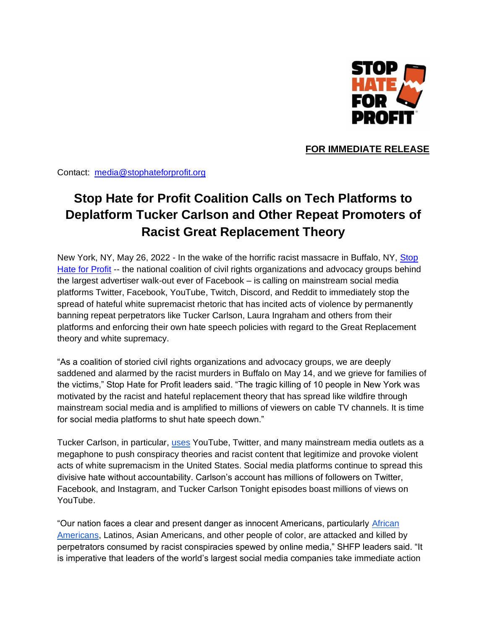

**FOR IMMEDIATE RELEASE**

Contact: [media@stophateforprofit.org](mailto:media@stophateforprofit.org)

## **Stop Hate for Profit Coalition Calls on Tech Platforms to Deplatform Tucker Carlson and Other Repeat Promoters of Racist Great Replacement Theory**

New York, NY, May 26, 2022 - In the wake of the horrific racist massacre in Buffalo, NY, [Stop](https://www.stophateforprofit.org/)  [Hate for Profit](https://www.stophateforprofit.org/) -- the national coalition of civil rights organizations and advocacy groups behind the largest advertiser walk-out ever of Facebook – is calling on mainstream social media platforms Twitter, Facebook, YouTube, Twitch, Discord, and Reddit to immediately stop the spread of hateful white supremacist rhetoric that has incited acts of violence by permanently banning repeat perpetrators like Tucker Carlson, Laura Ingraham and others from their platforms and enforcing their own hate speech policies with regard to the Great Replacement theory and white supremacy.

"As a coalition of storied civil rights organizations and advocacy groups, we are deeply saddened and alarmed by the racist murders in Buffalo on May 14, and we grieve for families of the victims," Stop Hate for Profit leaders said. "The tragic killing of 10 people in New York was motivated by the racist and hateful replacement theory that has spread like wildfire through mainstream social media and is amplified to millions of viewers on cable TV channels. It is time for social media platforms to shut hate speech down."

Tucker Carlson, in particular, [uses](https://www.mediamatters.org/fox-news/tucker-carlson-promotes-white-supremacist-replacement-theory) YouTube, Twitter, and many mainstream media outlets as a megaphone to push conspiracy theories and racist content that legitimize and provoke violent acts of white supremacism in the United States. Social media platforms continue to spread this divisive hate without accountability. Carlson's account has millions of followers on Twitter, Facebook, and Instagram, and Tucker Carlson Tonight episodes boast millions of views on YouTube.

"Our nation faces a clear and present danger as innocent Americans, particularly [African](https://www.nytimes.com/2022/05/16/us/hate-crimes-black-african-americans.html)  [Americans,](https://www.nytimes.com/2022/05/16/us/hate-crimes-black-african-americans.html) Latinos, Asian Americans, and other people of color, are attacked and killed by perpetrators consumed by racist conspiracies spewed by online media," SHFP leaders said. "It is imperative that leaders of the world's largest social media companies take immediate action